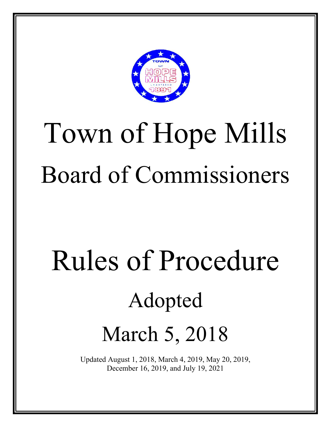

# Town of Hope Mills Board of Commissioners

# Rules of Procedure Adopted March 5, 2018

Updated August 1, 2018, March 4, 2019, May 20, 2019, December 16, 2019, and July 19, 2021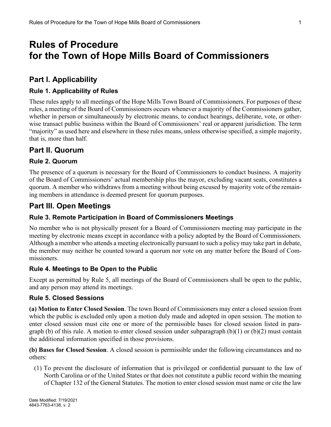# **Rules of Procedure for the Town of Hope Mills Board of Commissioners**

# **Part I. Applicability**

#### **Rule 1. Applicability of Rules**

These rules apply to all meetings of the Hope Mills Town Board of Commissioners. For purposes of these rules, a meeting of the Board of Commissioners occurs whenever a majority of the Commissioners gather, whether in person or simultaneously by electronic means, to conduct hearings, deliberate, vote, or otherwise transact public business within the Board of Commissioners' real or apparent jurisdiction. The term "majority" as used here and elsewhere in these rules means, unless otherwise specified, a simple majority, that is, more than half.

## **Part II. Quorum**

#### **Rule 2. Quorum**

The presence of a quorum is necessary for the Board of Commissioners to conduct business. A majority of the Board of Commissioners' actual membership plus the mayor, excluding vacant seats, constitutes a quorum. A member who withdraws from a meeting without being excused by majority vote of the remaining members in attendance is deemed present for quorum purposes.

## **Part III. Open Meetings**

#### **Rule 3. Remote Participation in Board of Commissioners Meetings**

No member who is not physically present for a Board of Commissioners meeting may participate in the meeting by electronic means except in accordance with a policy adopted by the Board of Commissioners. Although a member who attends a meeting electronically pursuant to such a policy may take part in debate, the member may neither be counted toward a quorum nor vote on any matter before the Board of Commissioners.

#### **Rule 4. Meetings to Be Open to the Public**

Except as permitted by Rule 5, all meetings of the Board of Commissioners shall be open to the public, and any person may attend its meetings.

#### **Rule 5. Closed Sessions**

**(a) Motion to Enter Closed Session**. The town Board of Commissioners may enter a closed session from which the public is excluded only upon a motion duly made and adopted in open session. The motion to enter closed session must cite one or more of the permissible bases for closed session listed in paragraph (b) of this rule. A motion to enter closed session under subparagraph  $(b)(1)$  or  $(b)(2)$  must contain the additional information specified in those provisions.

**(b) Bases for Closed Session**. A closed session is permissible under the following circumstances and no others:

(1) To prevent the disclosure of information that is privileged or confidential pursuant to the law of North Carolina or of the United States or that does not constitute a public record within the meaning of Chapter 132 of the General Statutes. The motion to enter closed session must name or cite the law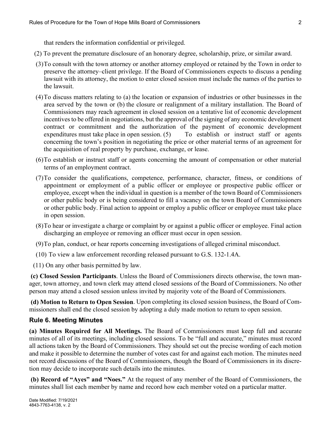that renders the information confidential or privileged.

- (2) To prevent the premature disclosure of an honorary degree, scholarship, prize, or similar award.
- (3)To consult with the town attorney or another attorney employed or retained by the Town in order to preserve the attorney–client privilege. If the Board of Commissioners expects to discuss a pending lawsuit with its attorney, the motion to enter closed session must include the names of the parties to the lawsuit.
- (4)To discuss matters relating to (a) the location or expansion of industries or other businesses in the area served by the town or (b) the closure or realignment of a military installation. The Board of Commissioners may reach agreement in closed session on a tentative list of economic development incentives to be offered in negotiations, but the approval of the signing of any economic development contract or commitment and the authorization of the payment of economic development expenditures must take place in open session. (5) To establish or instruct staff or agents concerning the town's position in negotiating the price or other material terms of an agreement for the acquisition of real property by purchase, exchange, or lease.
- (6)To establish or instruct staff or agents concerning the amount of compensation or other material terms of an employment contract.
- (7)To consider the qualifications, competence, performance, character, fitness, or conditions of appointment or employment of a public officer or employee or prospective public officer or employee, except when the individual in question is a member of the town Board of Commissioners or other public body or is being considered to fill a vacancy on the town Board of Commissioners or other public body. Final action to appoint or employ a public officer or employee must take place in open session.
- (8)To hear or investigate a charge or complaint by or against a public officer or employee. Final action discharging an employee or removing an officer must occur in open session.
- (9)To plan, conduct, or hear reports concerning investigations of alleged criminal misconduct.
- (10) To view a law enforcement recording released pursuant to G.S. 132-1.4A.

(11) On any other basis permitted by law.

**(c) Closed Session Participants**. Unless the Board of Commissioners directs otherwise, the town manager, town attorney, and town clerk may attend closed sessions of the Board of Commissioners. No other person may attend a closed session unless invited by majority vote of the Board of Commissioners.

**(d) Motion to Return to Open Session**. Upon completing its closed session business, the Board of Commissioners shall end the closed session by adopting a duly made motion to return to open session.

#### **Rule 6. Meeting Minutes**

**(a) Minutes Required for All Meetings.** The Board of Commissioners must keep full and accurate minutes of all of its meetings, including closed sessions. To be "full and accurate," minutes must record all actions taken by the Board of Commissioners. They should set out the precise wording of each motion and make it possible to determine the number of votes cast for and against each motion. The minutes need not record discussions of the Board of Commissioners, though the Board of Commissioners in its discretion may decide to incorporate such details into the minutes.

**(b) Record of "Ayes" and "Noes."** At the request of any member of the Board of Commissioners, the minutes shall list each member by name and record how each member voted on a particular matter.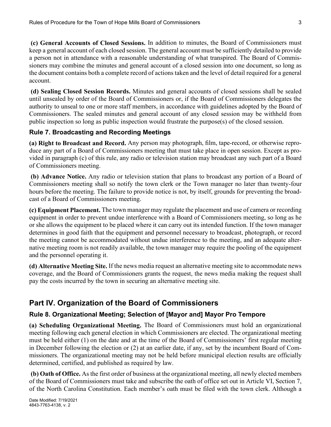**(c) General Accounts of Closed Sessions.** In addition to minutes, the Board of Commissioners must keep a general account of each closed session. The general account must be sufficiently detailed to provide a person not in attendance with a reasonable understanding of what transpired. The Board of Commissioners may combine the minutes and general account of a closed session into one document, so long as the document contains both a complete record of actions taken and the level of detail required for a general account.

**(d) Sealing Closed Session Records.** Minutes and general accounts of closed sessions shall be sealed until unsealed by order of the Board of Commissioners or, if the Board of Commissioners delegates the authority to unseal to one or more staff members, in accordance with guidelines adopted by the Board of Commissioners. The sealed minutes and general account of any closed session may be withheld from public inspection so long as public inspection would frustrate the purpose(s) of the closed session.

#### **Rule 7. Broadcasting and Recording Meetings**

**(a) Right to Broadcast and Record.** Any person may photograph, film, tape-record, or otherwise reproduce any part of a Board of Commissioners meeting that must take place in open session. Except as provided in paragraph (c) of this rule, any radio or television station may broadcast any such part of a Board of Commissioners meeting.

**(b) Advance Notice.** Any radio or television station that plans to broadcast any portion of a Board of Commissioners meeting shall so notify the town clerk or the Town manager no later than twenty-four hours before the meeting. The failure to provide notice is not, by itself, grounds for preventing the broadcast of a Board of Commissioners meeting.

**(c) Equipment Placement.** The town manager may regulate the placement and use of camera or recording equipment in order to prevent undue interference with a Board of Commissioners meeting, so long as he or she allows the equipment to be placed where it can carry out its intended function. If the town manager determines in good faith that the equipment and personnel necessary to broadcast, photograph, or record the meeting cannot be accommodated without undue interference to the meeting, and an adequate alternative meeting room is not readily available, the town manager may require the pooling of the equipment and the personnel operating it.

**(d) Alternative Meeting Site.** If the news media request an alternative meeting site to accommodate news coverage, and the Board of Commissioners grants the request, the news media making the request shall pay the costs incurred by the town in securing an alternative meeting site.

# **Part IV. Organization of the Board of Commissioners**

## **Rule 8. Organizational Meeting; Selection of [Mayor and] Mayor Pro Tempore**

**(a) Scheduling Organizational Meeting.** The Board of Commissioners must hold an organizational meeting following each general election in which Commissioners are elected. The organizational meeting must be held either (1) on the date and at the time of the Board of Commissioners' first regular meeting in December following the election or (2) at an earlier date, if any, set by the incumbent Board of Commissioners. The organizational meeting may not be held before municipal election results are officially determined, certified, and published as required by law.

**(b) Oath of Office.** As the first order of business at the organizational meeting, all newly elected members of the Board of Commissioners must take and subscribe the oath of office set out in Article VI, Section 7, of the North Carolina Constitution. Each member's oath must be filed with the town clerk. Although a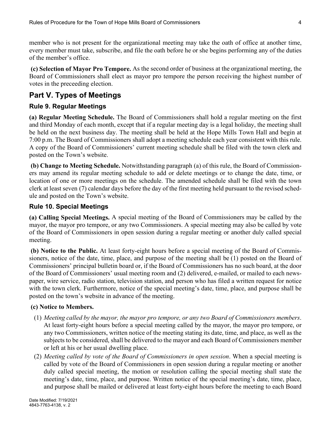member who is not present for the organizational meeting may take the oath of office at another time, every member must take, subscribe, and file the oath before he or she begins performing any of the duties of the member's office.

**(c) Selection of Mayor Pro Tempore.** As the second order of business at the organizational meeting, the Board of Commissioners shall elect as mayor pro tempore the person receiving the highest number of votes in the preceeding election.

# **Part V. Types of Meetings**

#### **Rule 9. Regular Meetings**

**(a) Regular Meeting Schedule.** The Board of Commissioners shall hold a regular meeting on the first and third Monday of each month, except that if a regular meeting day is a legal holiday, the meeting shall be held on the next business day. The meeting shall be held at the Hope Mills Town Hall and begin at 7:00 p.m. The Board of Commissioners shall adopt a meeting schedule each year consistent with this rule. A copy of the Board of Commissioners' current meeting schedule shall be filed with the town clerk and posted on the Town's website.

**(b) Change to Meeting Schedule.** Notwithstanding paragraph (a) of this rule, the Board of Commissioners may amend its regular meeting schedule to add or delete meetings or to change the date, time, or location of one or more meetings on the schedule. The amended schedule shall be filed with the town clerk at least seven (7) calendar days before the day of the first meeting held pursuant to the revised schedule and posted on the Town's website.

#### **Rule 10. Special Meetings**

**(a) Calling Special Meetings.** A special meeting of the Board of Commissioners may be called by the mayor, the mayor pro tempore, or any two Commissioners. A special meeting may also be called by vote of the Board of Commissioners in open session during a regular meeting or another duly called special meeting.

**(b) Notice to the Public.** At least forty-eight hours before a special meeting of the Board of Commissioners, notice of the date, time, place, and purpose of the meeting shall be (1) posted on the Board of Commissioners' principal bulletin board or, if the Board of Commissioners has no such board, at the door of the Board of Commissioners' usual meeting room and (2) delivered, e-mailed, or mailed to each newspaper, wire service, radio station, television station, and person who has filed a written request for notice with the town clerk. Furthermore, notice of the special meeting's date, time, place, and purpose shall be posted on the town's website in advance of the meeting.

#### **(c) Notice to Members.**

- (1) *Meeting called by the mayor, the mayor pro tempore, or any two Board of Commissioners members*. At least forty-eight hours before a special meeting called by the mayor, the mayor pro tempore, or any two Commissioners, written notice of the meeting stating its date, time, and place, as well as the subjects to be considered, shall be delivered to the mayor and each Board of Commissioners member or left at his or her usual dwelling place.
- (2) *Meeting called by vote of the Board of Commissioners in open session*. When a special meeting is called by vote of the Board of Commissioners in open session during a regular meeting or another duly called special meeting, the motion or resolution calling the special meeting shall state the meeting's date, time, place, and purpose. Written notice of the special meeting's date, time, place, and purpose shall be mailed or delivered at least forty-eight hours before the meeting to each Board

4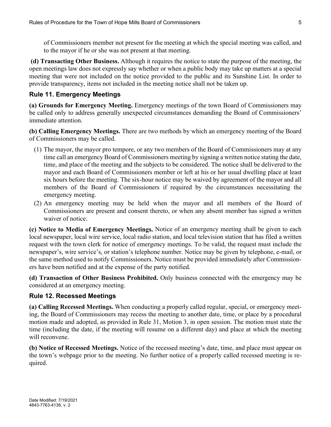of Commissioners member not present for the meeting at which the special meeting was called, and to the mayor if he or she was not present at that meeting.

**(d) Transacting Other Business.** Although it requires the notice to state the purpose of the meeting, the open meetings law does not expressly say whether or when a public body may take up matters at a special meeting that were not included on the notice provided to the public and its Sunshine List. In order to provide transparency, items not included in the meeting notice shall not be taken up.

#### **Rule 11. Emergency Meetings**

**(a) Grounds for Emergency Meeting.** Emergency meetings of the town Board of Commissioners may be called only to address generally unexpected circumstances demanding the Board of Commissioners' immediate attention.

**(b) Calling Emergency Meetings.** There are two methods by which an emergency meeting of the Board of Commissioners may be called.

- (1) The mayor, the mayor pro tempore, or any two members of the Board of Commissioners may at any time call an emergency Board of Commissioners meeting by signing a written notice stating the date, time, and place of the meeting and the subjects to be considered. The notice shall be delivered to the mayor and each Board of Commissioners member or left at his or her usual dwelling place at least six hours before the meeting. The six-hour notice may be waived by agreement of the mayor and all members of the Board of Commissioners if required by the circumstances necessitating the emergency meeting.
- (2) An emergency meeting may be held when the mayor and all members of the Board of Commissioners are present and consent thereto, or when any absent member has signed a written waiver of notice.

**(c) Notice to Media of Emergency Meetings.** Notice of an emergency meeting shall be given to each local newspaper, local wire service, local radio station, and local television station that has filed a written request with the town clerk for notice of emergency meetings. To be valid, the request must include the newspaper's, wire service's, or station's telephone number. Notice may be given by telephone, e-mail, or the same method used to notify Commissioners. Notice must be provided immediately after Commissioners have been notified and at the expense of the party notified.

**(d) Transaction of Other Business Prohibited.** Only business connected with the emergency may be considered at an emergency meeting.

#### **Rule 12. Recessed Meetings**

**(a) Calling Recessed Meetings.** When conducting a properly called regular, special, or emergency meeting, the Board of Commissioners may recess the meeting to another date, time, or place by a procedural motion made and adopted, as provided in Rule 31, Motion 3, in open session. The motion must state the time (including the date, if the meeting will resume on a different day) and place at which the meeting will reconvene.

**(b) Notice of Recessed Meetings.** Notice of the recessed meeting's date, time, and place must appear on the town's webpage prior to the meeting. No further notice of a properly called recessed meeting is required.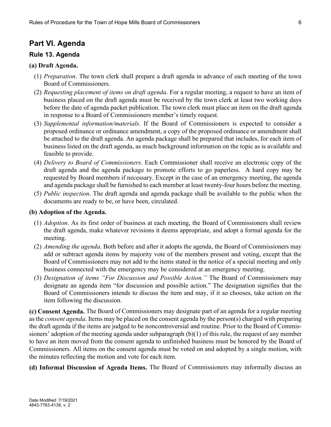## **Part VI. Agenda**

#### **Rule 13. Agenda**

#### **(a) Draft Agenda.**

- (1) *Preparation*. The town clerk shall prepare a draft agenda in advance of each meeting of the town Board of Commissioners.
- (2) *Requesting placement of items on draft agenda*. For a regular meeting, a request to have an item of business placed on the draft agenda must be received by the town clerk at least two working days before the date of agenda packet publication. The town clerk must place an item on the draft agenda in response to a Board of Commissioners member's timely request.
- (3) *Supplemental information/materials*. If the Board of Commissioners is expected to consider a proposed ordinance or ordinance amendment, a copy of the proposed ordinance or amendment shall be attached to the draft agenda. An agenda package shall be prepared that includes, for each item of business listed on the draft agenda, as much background information on the topic as is available and feasible to provide.
- (4) *Delivery to Board of Commissioners*. Each Commissioner shall receive an electronic copy of the draft agenda and the agenda package to promote efforts to go paperless. A hard copy may be requested by Board members if necessary. Except in the case of an emergency meeting, the agenda and agenda package shall be furnished to each member at least twenty-four hours before the meeting.
- (5) *Public inspection*. The draft agenda and agenda package shall be available to the public when the documents are ready to be, or have been, circulated.

#### **(b) Adoption of the Agenda.**

- (1) *Adoption*. As its first order of business at each meeting, the Board of Commissioners shall review the draft agenda, make whatever revisions it deems appropriate, and adopt a formal agenda for the meeting.
- (2) *Amending the agenda*. Both before and after it adopts the agenda, the Board of Commissioners may add or subtract agenda items by majority vote of the members present and voting, except that the Board of Commissioners may not add to the items stated in the notice of a special meeting and only business connected with the emergency may be considered at an emergency meeting.
- (3) *Designation of items "For Discussion and Possible Action."* The Board of Commissioners may designate an agenda item "for discussion and possible action." The designation signifies that the Board of Commissioners intends to discuss the item and may, if it so chooses, take action on the item following the discussion.

**(c) Consent Agenda.** The Board of Commissioners may designate part of an agenda for a regular meeting as the *consent agenda*. Items may be placed on the consent agenda by the person(s) charged with preparing the draft agenda if the items are judged to be noncontroversial and routine. Prior to the Board of Commissioners' adoption of the meeting agenda under subparagraph (b)(1) of this rule, the request of any member to have an item moved from the consent agenda to unfinished business must be honored by the Board of Commissioners. All items on the consent agenda must be voted on and adopted by a single motion, with the minutes reflecting the motion and vote for each item.

**(d) Informal Discussion of Agenda Items.** The Board of Commissioners may informally discuss an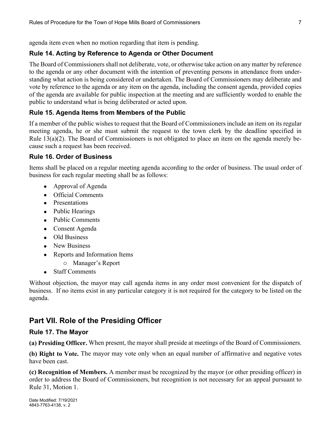agenda item even when no motion regarding that item is pending.

## **Rule 14. Acting by Reference to Agenda or Other Document**

The Board of Commissionersshall not deliberate, vote, or otherwise take action on any matter by reference to the agenda or any other document with the intention of preventing persons in attendance from understanding what action is being considered or undertaken. The Board of Commissioners may deliberate and vote by reference to the agenda or any item on the agenda, including the consent agenda, provided copies of the agenda are available for public inspection at the meeting and are sufficiently worded to enable the public to understand what is being deliberated or acted upon.

## **Rule 15. Agenda Items from Members of the Public**

If a member of the public wishes to request that the Board of Commissioners include an item on its regular meeting agenda, he or she must submit the request to the town clerk by the deadline specified in Rule 13(a)(2). The Board of Commissioners is not obligated to place an item on the agenda merely because such a request has been received.

#### **Rule 16. Order of Business**

Items shall be placed on a regular meeting agenda according to the order of business. The usual order of business for each regular meeting shall be as follows:

- Approval of Agenda
- Official Comments
- Presentations
- Public Hearings
- Public Comments
- Consent Agenda
- Old Business
- New Business
- Reports and Information Items
	- o Manager's Report
- Staff Comments

Without objection, the mayor may call agenda items in any order most convenient for the dispatch of business. If no items exist in any particular category it is not required for the category to be listed on the agenda.

# **Part VII. Role of the Presiding Officer**

#### **Rule 17. The Mayor**

**(a) Presiding Officer.** When present, the mayor shall preside at meetings of the Board of Commissioners.

**(b) Right to Vote.** The mayor may vote only when an equal number of affirmative and negative votes have been cast.

**(c) Recognition of Members.** A member must be recognized by the mayor (or other presiding officer) in order to address the Board of Commissioners, but recognition is not necessary for an appeal pursuant to Rule 31, Motion 1.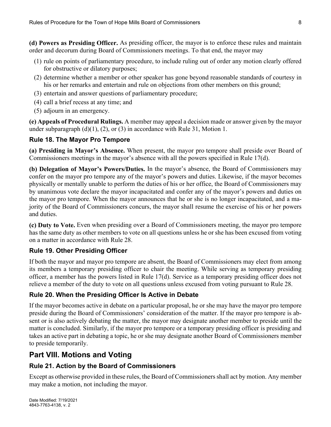**(d) Powers as Presiding Officer.** As presiding officer, the mayor is to enforce these rules and maintain order and decorum during Board of Commissioners meetings. To that end, the mayor may

- (1) rule on points of parliamentary procedure, to include ruling out of order any motion clearly offered for obstructive or dilatory purposes;
- (2) determine whether a member or other speaker has gone beyond reasonable standards of courtesy in his or her remarks and entertain and rule on objections from other members on this ground;
- (3) entertain and answer questions of parliamentary procedure;
- (4) call a brief recess at any time; and
- (5) adjourn in an emergency.

**(e) Appeals of Procedural Rulings.** A member may appeal a decision made or answer given by the mayor under subparagraph  $(d)(1)$ ,  $(2)$ , or  $(3)$  in accordance with Rule 31, Motion 1.

#### **Rule 18. The Mayor Pro Tempore**

**(a) Presiding in Mayor's Absence.** When present, the mayor pro tempore shall preside over Board of Commissioners meetings in the mayor's absence with all the powers specified in Rule 17(d).

**(b) Delegation of Mayor's Powers/Duties.** In the mayor's absence, the Board of Commissioners may confer on the mayor pro tempore any of the mayor's powers and duties. Likewise, if the mayor becomes physically or mentally unable to perform the duties of his or her office, the Board of Commissioners may by unanimous vote declare the mayor incapacitated and confer any of the mayor's powers and duties on the mayor pro tempore. When the mayor announces that he or she is no longer incapacitated, and a majority of the Board of Commissioners concurs, the mayor shall resume the exercise of his or her powers and duties.

**(c) Duty to Vote.** Even when presiding over a Board of Commissioners meeting, the mayor pro tempore has the same duty as other members to vote on all questions unless he or she has been excused from voting on a matter in accordance with Rule 28.

## **Rule 19. Other Presiding Officer**

If both the mayor and mayor pro tempore are absent, the Board of Commissioners may elect from among its members a temporary presiding officer to chair the meeting. While serving as temporary presiding officer, a member has the powers listed in Rule 17(d). Service as a temporary presiding officer does not relieve a member of the duty to vote on all questions unless excused from voting pursuant to Rule 28.

## **Rule 20. When the Presiding Officer Is Active in Debate**

If the mayor becomes active in debate on a particular proposal, he or she may have the mayor pro tempore preside during the Board of Commissioners' consideration of the matter. If the mayor pro tempore is absent or is also actively debating the matter, the mayor may designate another member to preside until the matter is concluded. Similarly, if the mayor pro tempore or a temporary presiding officer is presiding and takes an active part in debating a topic, he or she may designate another Board of Commissioners member to preside temporarily.

# **Part VIII. Motions and Voting**

## **Rule 21. Action by the Board of Commissioners**

Except as otherwise provided in these rules, the Board of Commissionersshall act by motion. Any member may make a motion, not including the mayor.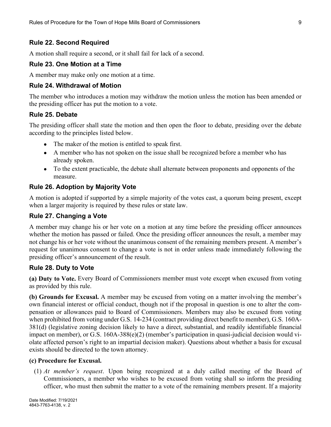#### **Rule 22. Second Required**

A motion shall require a second, or it shall fail for lack of a second.

#### **Rule 23. One Motion at a Time**

A member may make only one motion at a time.

#### **Rule 24. Withdrawal of Motion**

The member who introduces a motion may withdraw the motion unless the motion has been amended or the presiding officer has put the motion to a vote.

#### **Rule 25. Debate**

The presiding officer shall state the motion and then open the floor to debate, presiding over the debate according to the principles listed below.

- The maker of the motion is entitled to speak first.
- A member who has not spoken on the issue shall be recognized before a member who has already spoken.
- To the extent practicable, the debate shall alternate between proponents and opponents of the measure.

#### **Rule 26. Adoption by Majority Vote**

A motion is adopted if supported by a simple majority of the votes cast, a quorum being present, except when a larger majority is required by these rules or state law.

#### **Rule 27. Changing a Vote**

A member may change his or her vote on a motion at any time before the presiding officer announces whether the motion has passed or failed. Once the presiding officer announces the result, a member may not change his or her vote without the unanimous consent of the remaining members present. A member's request for unanimous consent to change a vote is not in order unless made immediately following the presiding officer's announcement of the result.

#### **Rule 28. Duty to Vote**

**(a) Duty to Vote.** Every Board of Commissioners member must vote except when excused from voting as provided by this rule.

**(b) Grounds for Excusal.** A member may be excused from voting on a matter involving the member's own financial interest or official conduct, though not if the proposal in question is one to alter the compensation or allowances paid to Board of Commissioners. Members may also be excused from voting when prohibited from voting under G.S. 14-234 (contract providing direct benefit to member), G.S. 160A-381(d) (legislative zoning decision likely to have a direct, substantial, and readily identifiable financial impact on member), or G.S. 160A-388(e)(2) (member's participation in quasi-judicial decision would violate affected person's right to an impartial decision maker). Questions about whether a basis for excusal exists should be directed to the town attorney.

#### **(c) Procedure for Excusal.**

(1) *At member's request*. Upon being recognized at a duly called meeting of the Board of Commissioners, a member who wishes to be excused from voting shall so inform the presiding officer, who must then submit the matter to a vote of the remaining members present. If a majority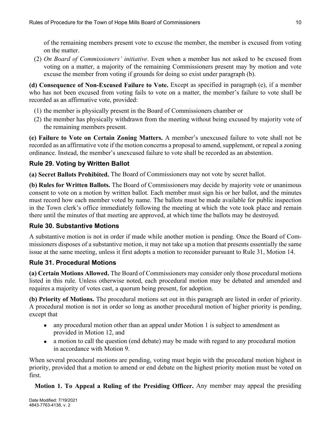of the remaining members present vote to excuse the member, the member is excused from voting on the matter.

(2) *On Board of Commissioners' initiative*. Even when a member has not asked to be excused from voting on a matter, a majority of the remaining Commissioners present may by motion and vote excuse the member from voting if grounds for doing so exist under paragraph (b).

**(d) Consequence of Non-Excused Failure to Vote.** Except as specified in paragraph (e), if a member who has not been excused from voting fails to vote on a matter, the member's failure to vote shall be recorded as an affirmative vote, provided:

- (1) the member is physically present in the Board of Commissioners chamber or
- (2) the member has physically withdrawn from the meeting without being excused by majority vote of the remaining members present.

**(e) Failure to Vote on Certain Zoning Matters.** A member's unexcused failure to vote shall not be recorded as an affirmative vote if the motion concerns a proposal to amend, supplement, or repeal a zoning ordinance. Instead, the member's unexcused failure to vote shall be recorded as an abstention.

#### **Rule 29. Voting by Written Ballot**

**(a) Secret Ballots Prohibited.** The Board of Commissioners may not vote by secret ballot.

**(b) Rules for Written Ballots.** The Board of Commissioners may decide by majority vote or unanimous consent to vote on a motion by written ballot. Each member must sign his or her ballot, and the minutes must record how each member voted by name. The ballots must be made available for public inspection in the Town clerk's office immediately following the meeting at which the vote took place and remain there until the minutes of that meeting are approved, at which time the ballots may be destroyed.

#### **Rule 30. Substantive Motions**

A substantive motion is not in order if made while another motion is pending. Once the Board of Commissioners disposes of a substantive motion, it may not take up a motion that presents essentially the same issue at the same meeting, unless it first adopts a motion to reconsider pursuant to Rule 31, Motion 14.

#### **Rule 31. Procedural Motions**

**(a) Certain Motions Allowed.** The Board of Commissioners may consider only those procedural motions listed in this rule. Unless otherwise noted, each procedural motion may be debated and amended and requires a majority of votes cast, a quorum being present, for adoption.

**(b) Priority of Motions.** The procedural motions set out in this paragraph are listed in order of priority. A procedural motion is not in order so long as another procedural motion of higher priority is pending, except that

- any procedural motion other than an appeal under Motion 1 is subject to amendment as provided in Motion 12, and
- a motion to call the question (end debate) may be made with regard to any procedural motion in accordance with Motion 9.

When several procedural motions are pending, voting must begin with the procedural motion highest in priority, provided that a motion to amend or end debate on the highest priority motion must be voted on first.

**Motion 1. To Appeal a Ruling of the Presiding Officer.** Any member may appeal the presiding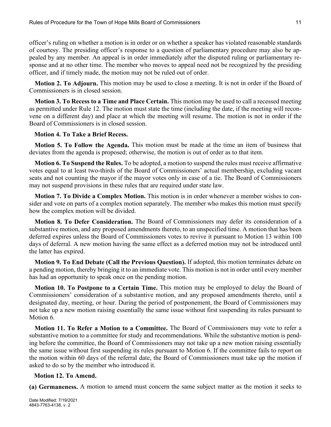officer's ruling on whether a motion is in order or on whether a speaker has violated reasonable standards of courtesy. The presiding officer's response to a question of parliamentary procedure may also be appealed by any member. An appeal is in order immediately after the disputed ruling or parliamentary response and at no other time. The member who moves to appeal need not be recognized by the presiding officer, and if timely made, the motion may not be ruled out of order.

**Motion 2. To Adjourn.** This motion may be used to close a meeting. It is not in order if the Board of Commissioners is in closed session.

**Motion 3. To Recess to a Time and Place Certain.** This motion may be used to call a recessed meeting as permitted under Rule 12. The motion must state the time (including the date, if the meeting will reconvene on a different day) and place at which the meeting will resume. The motion is not in order if the Board of Commissioners is in closed session.

#### **Motion 4. To Take a Brief Recess.**

**Motion 5. To Follow the Agenda.** This motion must be made at the time an item of business that deviates from the agenda is proposed; otherwise, the motion is out of order as to that item.

**Motion 6. To Suspend the Rules.** To be adopted, a motion to suspend the rules must receive affirmative votes equal to at least two-thirds of the Board of Commissioners' actual membership, excluding vacant seats and not counting the mayor if the mayor votes only in case of a tie. The Board of Commissioners may not suspend provisions in these rules that are required under state law.

**Motion 7. To Divide a Complex Motion.** This motion is in order whenever a member wishes to consider and vote on parts of a complex motion separately. The member who makes this motion must specify how the complex motion will be divided.

**Motion 8. To Defer Consideration.** The Board of Commissioners may defer its consideration of a substantive motion, and any proposed amendments thereto, to an unspecified time. A motion that has been deferred expires unless the Board of Commissioners votes to revive it pursuant to Motion 13 within 100 days of deferral. A new motion having the same effect as a deferred motion may not be introduced until the latter has expired.

**Motion 9. To End Debate (Call the Previous Question).** If adopted, this motion terminates debate on a pending motion, thereby bringing it to an immediate vote. This motion is not in order until every member has had an opportunity to speak once on the pending motion.

**Motion 10. To Postpone to a Certain Time.** This motion may be employed to delay the Board of Commissioners' consideration of a substantive motion, and any proposed amendments thereto, until a designated day, meeting, or hour. During the period of postponement, the Board of Commissioners may not take up a new motion raising essentially the same issue without first suspending its rules pursuant to Motion 6.

**Motion 11. To Refer a Motion to a Committee.** The Board of Commissioners may vote to refer a substantive motion to a committee for study and recommendations. While the substantive motion is pending before the committee, the Board of Commissioners may not take up a new motion raising essentially the same issue without first suspending its rules pursuant to Motion 6. If the committee fails to report on the motion within 60 days of the referral date, the Board of Commissioners must take up the motion if asked to do so by the member who introduced it.

#### **Motion 12. To Amend.**

**(a) Germaneness.** A motion to amend must concern the same subject matter as the motion it seeks to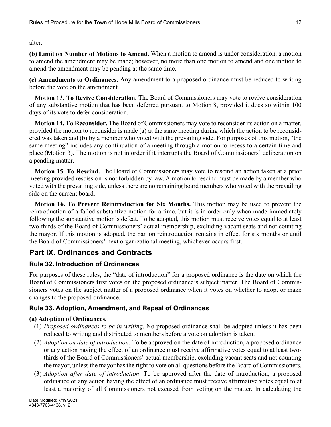alter.

**(b) Limit on Number of Motions to Amend.** When a motion to amend is under consideration, a motion to amend the amendment may be made; however, no more than one motion to amend and one motion to amend the amendment may be pending at the same time.

**(c) Amendments to Ordinances.** Any amendment to a proposed ordinance must be reduced to writing before the vote on the amendment.

**Motion 13. To Revive Consideration.** The Board of Commissioners may vote to revive consideration of any substantive motion that has been deferred pursuant to Motion 8, provided it does so within 100 days of its vote to defer consideration.

**Motion 14. To Reconsider.** The Board of Commissioners may vote to reconsider its action on a matter, provided the motion to reconsider is made (a) at the same meeting during which the action to be reconsidered was taken and (b) by a member who voted with the prevailing side. For purposes of this motion, "the same meeting" includes any continuation of a meeting through a motion to recess to a certain time and place (Motion 3). The motion is not in order if it interrupts the Board of Commissioners' deliberation on a pending matter.

**Motion 15. To Rescind.** The Board of Commissioners may vote to rescind an action taken at a prior meeting provided rescission is not forbidden by law. A motion to rescind must be made by a member who voted with the prevailing side, unless there are no remaining board members who voted with the prevailing side on the current board.

**Motion 16. To Prevent Reintroduction for Six Months.** This motion may be used to prevent the reintroduction of a failed substantive motion for a time, but it is in order only when made immediately following the substantive motion's defeat. To be adopted, this motion must receive votes equal to at least two-thirds of the Board of Commissioners' actual membership, excluding vacant seats and not counting the mayor. If this motion is adopted, the ban on reintroduction remains in effect for six months or until the Board of Commissioners' next organizational meeting, whichever occurs first.

# **Part IX. Ordinances and Contracts**

#### **Rule 32. Introduction of Ordinances**

For purposes of these rules, the "date of introduction" for a proposed ordinance is the date on which the Board of Commissioners first votes on the proposed ordinance's subject matter. The Board of Commissioners votes on the subject matter of a proposed ordinance when it votes on whether to adopt or make changes to the proposed ordinance.

## **Rule 33. Adoption, Amendment, and Repeal of Ordinances**

#### **(a) Adoption of Ordinances.**

- (1) *Proposed ordinances to be in writing*. No proposed ordinance shall be adopted unless it has been reduced to writing and distributed to members before a vote on adoption is taken.
- (2) *Adoption on date of introduction.* To be approved on the date of introduction, a proposed ordinance or any action having the effect of an ordinance must receive affirmative votes equal to at least twothirds of the Board of Commissioners' actual membership, excluding vacant seats and not counting the mayor, unless the mayor has the right to vote on all questions before the Board of Commissioners.
- (3) *Adoption after date of introduction*. To be approved after the date of introduction, a proposed ordinance or any action having the effect of an ordinance must receive affirmative votes equal to at least a majority of all Commissioners not excused from voting on the matter. In calculating the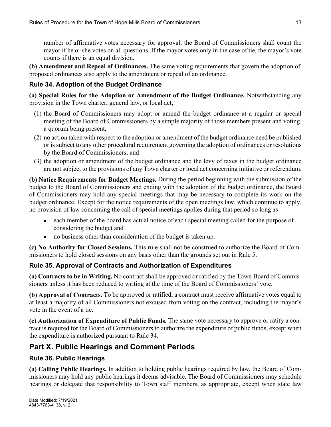number of affirmative votes necessary for approval, the Board of Commissioners shall count the mayor if he or she votes on all questions. If the mayor votes only in the case of tie, the mayor's vote counts if there is an equal division.

**(b) Amendment and Repeal of Ordinances.** The same voting requirements that govern the adoption of proposed ordinances also apply to the amendment or repeal of an ordinance.

#### **Rule 34. Adoption of the Budget Ordinance**

**(a) Special Rules for the Adoption or Amendment of the Budget Ordinance.** Notwithstanding any provision in the Town charter, general law, or local act,

- (1) the Board of Commissioners may adopt or amend the budget ordinance at a regular or special meeting of the Board of Commissioners by a simple majority of those members present and voting, a quorum being present;
- (2) no action taken with respect to the adoption or amendment of the budget ordinance need be published or is subject to any other procedural requirement governing the adoption of ordinances or resolutions by the Board of Commissioners; and
- (3) the adoption or amendment of the budget ordinance and the levy of taxes in the budget ordinance are not subject to the provisions of any Town charter or local act concerning initiative or referendum.

**(b) Notice Requirements for Budget Meetings.** During the period beginning with the submission of the budget to the Board of Commissioners and ending with the adoption of the budget ordinance, the Board of Commissioners may hold any special meetings that may be necessary to complete its work on the budget ordinance. Except for the notice requirements of the open meetings law, which continue to apply, no provision of law concerning the call of special meetings applies during that period so long as

- each member of the board has actual notice of each special meeting called for the purpose of considering the budget and
- no business other than consideration of the budget is taken up.

**(c) No Authority for Closed Sessions.** This rule shall not be construed to authorize the Board of Commissioners to hold closed sessions on any basis other than the grounds set out in Rule 5.

#### **Rule 35. Approval of Contracts and Authorization of Expenditures**

**(a) Contracts to be in Writing.** No contract shall be approved or ratified by the Town Board of Commissioners unless it has been reduced to writing at the time of the Board of Commissioners' vote.

**(b) Approval of Contracts.** To be approved or ratified, a contract must receive affirmative votes equal to at least a majority of all Commissioners not excused from voting on the contract, including the mayor's vote in the event of a tie.

**(c) Authorization of Expenditure of Public Funds.** The same vote necessary to approve or ratify a contract is required for the Board of Commissioners to authorize the expenditure of public funds, except when the expenditure is authorized pursuant to Rule 34.

## **Part X. Public Hearings and Comment Periods**

#### **Rule 36. Public Hearings**

**(a) Calling Public Hearings.** In addition to holding public hearings required by law, the Board of Commissioners may hold any public hearings it deems advisable. The Board of Commissioners may schedule hearings or delegate that responsibility to Town staff members, as appropriate, except when state law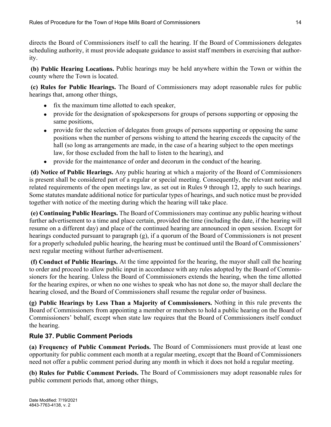directs the Board of Commissioners itself to call the hearing. If the Board of Commissioners delegates scheduling authority, it must provide adequate guidance to assist staff members in exercising that authority.

**(b) Public Hearing Locations.** Public hearings may be held anywhere within the Town or within the county where the Town is located.

**(c) Rules for Public Hearings.** The Board of Commissioners may adopt reasonable rules for public hearings that, among other things,

- fix the maximum time allotted to each speaker,
- provide for the designation of spokespersons for groups of persons supporting or opposing the same positions,
- provide for the selection of delegates from groups of persons supporting or opposing the same positions when the number of persons wishing to attend the hearing exceeds the capacity of the hall (so long as arrangements are made, in the case of a hearing subject to the open meetings law, for those excluded from the hall to listen to the hearing), and
- provide for the maintenance of order and decorum in the conduct of the hearing.

**(d) Notice of Public Hearings.** Any public hearing at which a majority of the Board of Commissioners is present shall be considered part of a regular or special meeting. Consequently, the relevant notice and related requirements of the open meetings law, as set out in Rules 9 through 12, apply to such hearings. Some statutes mandate additional notice for particular types of hearings, and such notice must be provided together with notice of the meeting during which the hearing will take place.

**(e) Continuing Public Hearings.** The Board of Commissioners may continue any public hearing without further advertisement to a time and place certain, provided the time (including the date, if the hearing will resume on a different day) and place of the continued hearing are announced in open session. Except for hearings conducted pursuant to paragraph (g), if a quorum of the Board of Commissioners is not present for a properly scheduled public hearing, the hearing must be continued until the Board of Commissioners' next regular meeting without further advertisement.

**(f) Conduct of Public Hearings.** At the time appointed for the hearing, the mayor shall call the hearing to order and proceed to allow public input in accordance with any rules adopted by the Board of Commissioners for the hearing. Unless the Board of Commissioners extends the hearing, when the time allotted for the hearing expires, or when no one wishes to speak who has not done so, the mayor shall declare the hearing closed, and the Board of Commissioners shall resume the regular order of business.

**(g) Public Hearings by Less Than a Majority of Commissioners.** Nothing in this rule prevents the Board of Commissioners from appointing a member or members to hold a public hearing on the Board of Commissioners' behalf, except when state law requires that the Board of Commissioners itself conduct the hearing.

## **Rule 37. Public Comment Periods**

**(a) Frequency of Public Comment Periods.** The Board of Commissioners must provide at least one opportunity for public comment each month at a regular meeting, except that the Board of Commissioners need not offer a public comment period during any month in which it does not hold a regular meeting.

**(b) Rules for Public Comment Periods.** The Board of Commissioners may adopt reasonable rules for public comment periods that, among other things,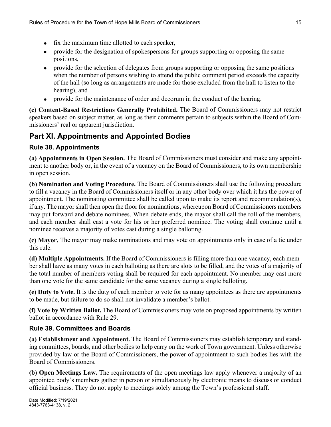- fix the maximum time allotted to each speaker,
- provide for the designation of spokespersons for groups supporting or opposing the same positions,
- provide for the selection of delegates from groups supporting or opposing the same positions when the number of persons wishing to attend the public comment period exceeds the capacity of the hall (so long as arrangements are made for those excluded from the hall to listen to the hearing), and
- provide for the maintenance of order and decorum in the conduct of the hearing.

**(c) Content-Based Restrictions Generally Prohibited.** The Board of Commissioners may not restrict speakers based on subject matter, as long as their comments pertain to subjects within the Board of Commissioners' real or apparent jurisdiction.

# **Part XI. Appointments and Appointed Bodies**

#### **Rule 38. Appointments**

**(a) Appointments in Open Session.** The Board of Commissioners must consider and make any appointment to another body or, in the event of a vacancy on the Board of Commissioners, to its own membership in open session.

**(b) Nomination and Voting Procedure.** The Board of Commissioners shall use the following procedure to fill a vacancy in the Board of Commissioners itself or in any other body over which it has the power of appointment. The nominating committee shall be called upon to make its report and recommendation(s), if any. The mayor shall then open the floor for nominations, whereupon Board of Commissioners members may put forward and debate nominees. When debate ends, the mayor shall call the roll of the members, and each member shall cast a vote for his or her preferred nominee. The voting shall continue until a nominee receives a majority of votes cast during a single balloting.

**(c) Mayor.** The mayor may make nominations and may vote on appointments only in case of a tie under this rule.

**(d) Multiple Appointments.** If the Board of Commissioners is filling more than one vacancy, each member shall have as many votes in each balloting as there are slots to be filled, and the votes of a majority of the total number of members voting shall be required for each appointment. No member may cast more than one vote for the same candidate for the same vacancy during a single balloting.

**(e) Duty to Vote.** It is the duty of each member to vote for as many appointees as there are appointments to be made, but failure to do so shall not invalidate a member's ballot.

**(f) Vote by Written Ballot.** The Board of Commissioners may vote on proposed appointments by written ballot in accordance with Rule 29.

## **Rule 39. Committees and Boards**

**(a) Establishment and Appointment.** The Board of Commissioners may establish temporary and standing committees, boards, and other bodies to help carry on the work of Town government. Unless otherwise provided by law or the Board of Commissioners, the power of appointment to such bodies lies with the Board of Commissioners.

**(b) Open Meetings Law.** The requirements of the open meetings law apply whenever a majority of an appointed body's members gather in person or simultaneously by electronic means to discuss or conduct official business. They do not apply to meetings solely among the Town's professional staff.